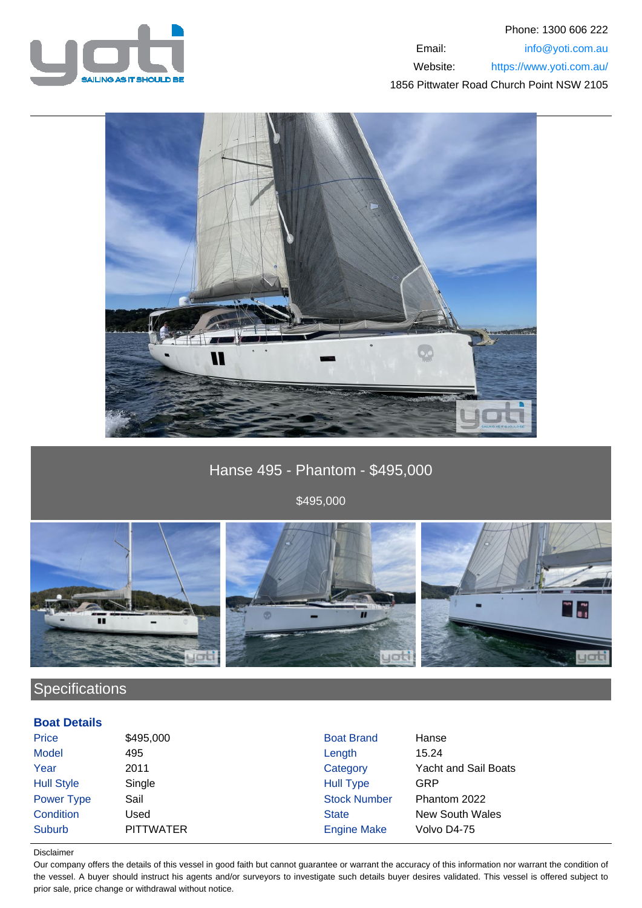



Hanse 495 - Phantom - \$495,000

\$495,000



# **Specifications**

### **Boat Details**

| Price             | \$495,000        | <b>Boat Brand</b>   | Hanse                       |
|-------------------|------------------|---------------------|-----------------------------|
| <b>Model</b>      | 495              | Length              | 15.24                       |
| Year              | 2011             | Category            | <b>Yacht and Sail Boats</b> |
| <b>Hull Style</b> | Single           | <b>Hull Type</b>    | GRP                         |
| <b>Power Type</b> | Sail             | <b>Stock Number</b> | Phantom 2022                |
| Condition         | Used             | <b>State</b>        | New South Wales             |
| Suburb            | <b>PITTWATER</b> | <b>Engine Make</b>  | Volvo D4-75                 |

#### Disclaimer

Our company offers the details of this vessel in good faith but cannot guarantee or warrant the accuracy of this information nor warrant the condition of the vessel. A buyer should instruct his agents and/or surveyors to investigate such details buyer desires validated. This vessel is offered subject to prior sale, price change or withdrawal without notice.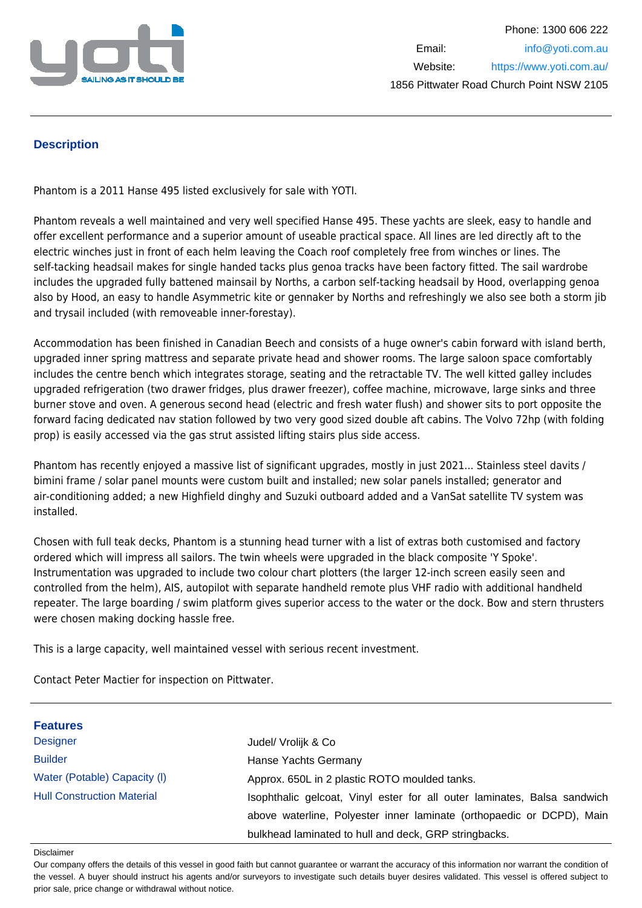

## **Description**

Phantom is a 2011 Hanse 495 listed exclusively for sale with YOTI.

Phantom reveals a well maintained and very well specified Hanse 495. These yachts are sleek, easy to handle and offer excellent performance and a superior amount of useable practical space. All lines are led directly aft to the electric winches just in front of each helm leaving the Coach roof completely free from winches or lines. The self-tacking headsail makes for single handed tacks plus genoa tracks have been factory fitted. The sail wardrobe includes the upgraded fully battened mainsail by Norths, a carbon self-tacking headsail by Hood, overlapping genoa also by Hood, an easy to handle Asymmetric kite or gennaker by Norths and refreshingly we also see both a storm jib and trysail included (with removeable inner-forestay).

Accommodation has been finished in Canadian Beech and consists of a huge owner's cabin forward with island berth, upgraded inner spring mattress and separate private head and shower rooms. The large saloon space comfortably includes the centre bench which integrates storage, seating and the retractable TV. The well kitted galley includes upgraded refrigeration (two drawer fridges, plus drawer freezer), coffee machine, microwave, large sinks and three burner stove and oven. A generous second head (electric and fresh water flush) and shower sits to port opposite the forward facing dedicated nav station followed by two very good sized double aft cabins. The Volvo 72hp (with folding prop) is easily accessed via the gas strut assisted lifting stairs plus side access.

Phantom has recently enjoyed a massive list of significant upgrades, mostly in just 2021... Stainless steel davits / bimini frame / solar panel mounts were custom built and installed; new solar panels installed; generator and air-conditioning added; a new Highfield dinghy and Suzuki outboard added and a VanSat satellite TV system was installed.

Chosen with full teak decks, Phantom is a stunning head turner with a list of extras both customised and factory ordered which will impress all sailors. The twin wheels were upgraded in the black composite 'Y Spoke'. Instrumentation was upgraded to include two colour chart plotters (the larger 12-inch screen easily seen and controlled from the helm), AIS, autopilot with separate handheld remote plus VHF radio with additional handheld repeater. The large boarding / swim platform gives superior access to the water or the dock. Bow and stern thrusters were chosen making docking hassle free.

This is a large capacity, well maintained vessel with serious recent investment.

Contact Peter Mactier for inspection on Pittwater.

| <b>Features</b>                   |                                                                          |
|-----------------------------------|--------------------------------------------------------------------------|
| <b>Designer</b>                   | Judel/ Vrolijk & Co                                                      |
| <b>Builder</b>                    | Hanse Yachts Germany                                                     |
| Water (Potable) Capacity (I)      | Approx. 650L in 2 plastic ROTO moulded tanks.                            |
| <b>Hull Construction Material</b> | Isophthalic gelcoat, Vinyl ester for all outer laminates, Balsa sandwich |
|                                   | above waterline, Polyester inner laminate (orthopaedic or DCPD), Main    |
|                                   | bulkhead laminated to hull and deck, GRP stringbacks.                    |

#### Disclaimer

Our company offers the details of this vessel in good faith but cannot guarantee or warrant the accuracy of this information nor warrant the condition of the vessel. A buyer should instruct his agents and/or surveyors to investigate such details buyer desires validated. This vessel is offered subject to prior sale, price change or withdrawal without notice.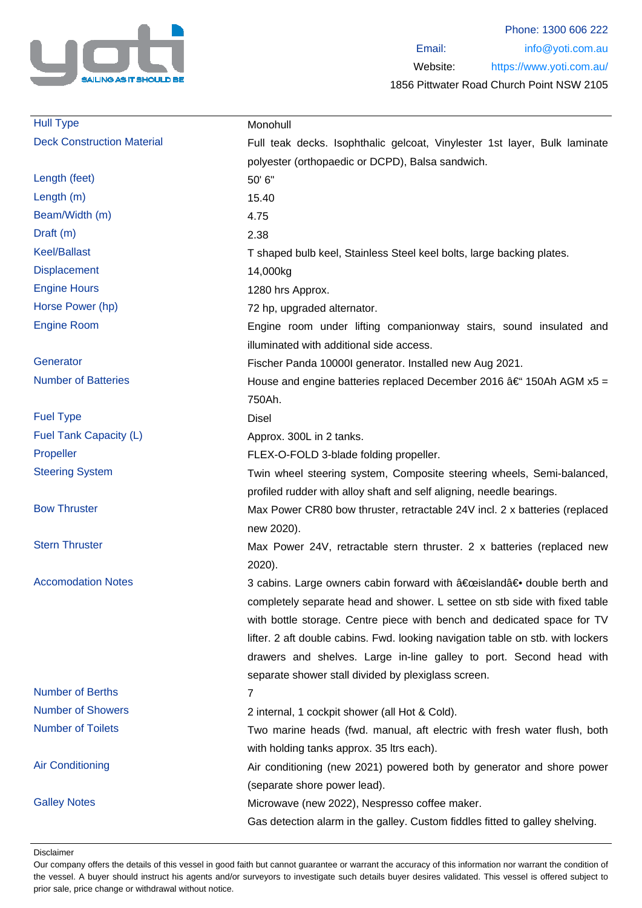

| <b>Hull Type</b>                  | Monohull                                                                        |
|-----------------------------------|---------------------------------------------------------------------------------|
| <b>Deck Construction Material</b> | Full teak decks. Isophthalic gelcoat, Vinylester 1st layer, Bulk laminate       |
|                                   | polyester (orthopaedic or DCPD), Balsa sandwich.                                |
| Length (feet)                     | 50' 6"                                                                          |
| Length (m)                        | 15.40                                                                           |
| Beam/Width (m)                    | 4.75                                                                            |
| Draft (m)                         | 2.38                                                                            |
| <b>Keel/Ballast</b>               | T shaped bulb keel, Stainless Steel keel bolts, large backing plates.           |
| <b>Displacement</b>               | 14,000kg                                                                        |
| <b>Engine Hours</b>               | 1280 hrs Approx.                                                                |
| Horse Power (hp)                  | 72 hp, upgraded alternator.                                                     |
| <b>Engine Room</b>                | Engine room under lifting companionway stairs, sound insulated and              |
|                                   | illuminated with additional side access.                                        |
| Generator                         | Fischer Panda 10000I generator. Installed new Aug 2021.                         |
| <b>Number of Batteries</b>        | House and engine batteries replaced December 2016 $\hat{a} \in$ 150Ah AGM x5 =  |
|                                   | 750Ah.                                                                          |
| <b>Fuel Type</b>                  | <b>Disel</b>                                                                    |
| Fuel Tank Capacity (L)            | Approx. 300L in 2 tanks.                                                        |
| Propeller                         | FLEX-O-FOLD 3-blade folding propeller.                                          |
| <b>Steering System</b>            | Twin wheel steering system, Composite steering wheels, Semi-balanced,           |
|                                   | profiled rudder with alloy shaft and self aligning, needle bearings.            |
| <b>Bow Thruster</b>               | Max Power CR80 bow thruster, retractable 24V incl. 2 x batteries (replaced      |
|                                   | new 2020).                                                                      |
| <b>Stern Thruster</b>             | Max Power 24V, retractable stern thruster. 2 x batteries (replaced new          |
|                                   | 2020).                                                                          |
| <b>Accomodation Notes</b>         | 3 cabins. Large owners cabin forward with "island― double berth and             |
|                                   | completely separate head and shower. L settee on stb side with fixed table      |
|                                   | with bottle storage. Centre piece with bench and dedicated space for TV         |
|                                   | lifter. 2 aft double cabins. Fwd. looking navigation table on stb. with lockers |
|                                   | drawers and shelves. Large in-line galley to port. Second head with             |
|                                   | separate shower stall divided by plexiglass screen.                             |
| <b>Number of Berths</b>           | 7                                                                               |
| <b>Number of Showers</b>          | 2 internal, 1 cockpit shower (all Hot & Cold).                                  |
| <b>Number of Toilets</b>          | Two marine heads (fwd. manual, aft electric with fresh water flush, both        |
|                                   | with holding tanks approx. 35 ltrs each).                                       |
| <b>Air Conditioning</b>           | Air conditioning (new 2021) powered both by generator and shore power           |
|                                   | (separate shore power lead).                                                    |
| <b>Galley Notes</b>               | Microwave (new 2022), Nespresso coffee maker.                                   |
|                                   | Gas detection alarm in the galley. Custom fiddles fitted to galley shelving.    |
|                                   |                                                                                 |

Disclaimer

Our company offers the details of this vessel in good faith but cannot guarantee or warrant the accuracy of this information nor warrant the condition of the vessel. A buyer should instruct his agents and/or surveyors to investigate such details buyer desires validated. This vessel is offered subject to prior sale, price change or withdrawal without notice.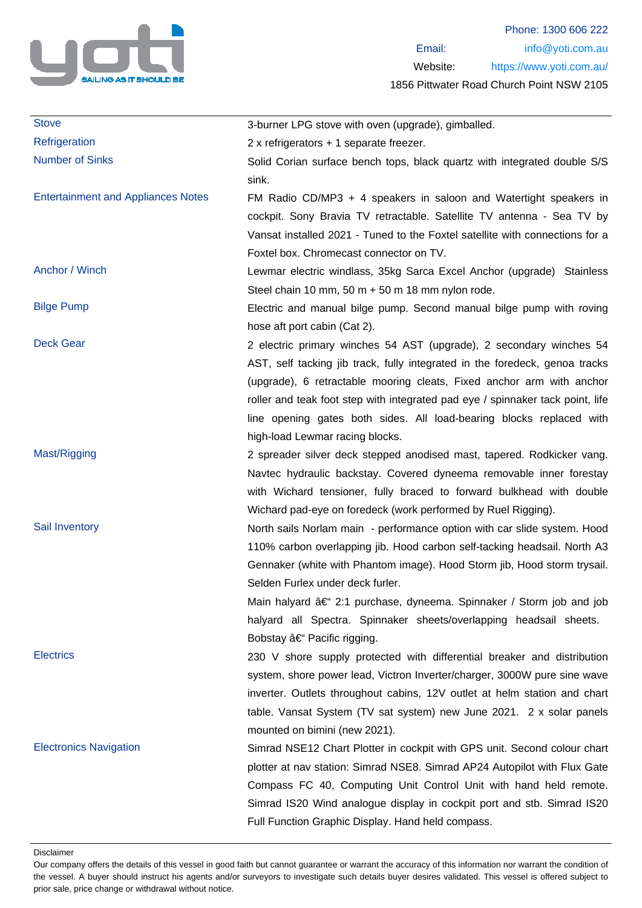

| <b>Stove</b>                              | 3-burner LPG stove with oven (upgrade), gimballed.                                                                                                                                                                                                                                                                                                                                                                                              |
|-------------------------------------------|-------------------------------------------------------------------------------------------------------------------------------------------------------------------------------------------------------------------------------------------------------------------------------------------------------------------------------------------------------------------------------------------------------------------------------------------------|
| Refrigeration                             | $2x$ refrigerators + 1 separate freezer.                                                                                                                                                                                                                                                                                                                                                                                                        |
| <b>Number of Sinks</b>                    | Solid Corian surface bench tops, black quartz with integrated double S/S<br>sink.                                                                                                                                                                                                                                                                                                                                                               |
| <b>Entertainment and Appliances Notes</b> | FM Radio CD/MP3 + 4 speakers in saloon and Watertight speakers in<br>cockpit. Sony Bravia TV retractable. Satellite TV antenna - Sea TV by<br>Vansat installed 2021 - Tuned to the Foxtel satellite with connections for a<br>Foxtel box. Chromecast connector on TV.                                                                                                                                                                           |
| Anchor / Winch                            | Lewmar electric windlass, 35kg Sarca Excel Anchor (upgrade) Stainless<br>Steel chain 10 mm, 50 m $+$ 50 m 18 mm nylon rode.                                                                                                                                                                                                                                                                                                                     |
| <b>Bilge Pump</b>                         | Electric and manual bilge pump. Second manual bilge pump with roving<br>hose aft port cabin (Cat 2).                                                                                                                                                                                                                                                                                                                                            |
| <b>Deck Gear</b>                          | 2 electric primary winches 54 AST (upgrade), 2 secondary winches 54<br>AST, self tacking jib track, fully integrated in the foredeck, genoa tracks<br>(upgrade), 6 retractable mooring cleats, Fixed anchor arm with anchor<br>roller and teak foot step with integrated pad eye / spinnaker tack point, life<br>line opening gates both sides. All load-bearing blocks replaced with<br>high-load Lewmar racing blocks.                        |
| Mast/Rigging                              | 2 spreader silver deck stepped anodised mast, tapered. Rodkicker vang.<br>Navtec hydraulic backstay. Covered dyneema removable inner forestay<br>with Wichard tensioner, fully braced to forward bulkhead with double<br>Wichard pad-eye on foredeck (work performed by Ruel Rigging).                                                                                                                                                          |
| Sail Inventory                            | North sails Norlam main - performance option with car slide system. Hood<br>110% carbon overlapping jib. Hood carbon self-tacking headsail. North A3<br>Gennaker (white with Phantom image). Hood Storm jib, Hood storm trysail.<br>Selden Furlex under deck furler.<br>Main halyard – 2:1 purchase, dyneema. Spinnaker / Storm job and job<br>halyard all Spectra. Spinnaker sheets/overlapping headsail sheets.<br>Bobstay – Pacific rigging. |
| <b>Electrics</b>                          | 230 V shore supply protected with differential breaker and distribution<br>system, shore power lead, Victron Inverter/charger, 3000W pure sine wave<br>inverter. Outlets throughout cabins, 12V outlet at helm station and chart<br>table. Vansat System (TV sat system) new June 2021. 2 x solar panels<br>mounted on bimini (new 2021).                                                                                                       |
| <b>Electronics Navigation</b>             | Simrad NSE12 Chart Plotter in cockpit with GPS unit. Second colour chart<br>plotter at nav station: Simrad NSE8. Simrad AP24 Autopilot with Flux Gate<br>Compass FC 40, Computing Unit Control Unit with hand held remote.<br>Simrad IS20 Wind analogue display in cockpit port and stb. Simrad IS20<br>Full Function Graphic Display. Hand held compass.                                                                                       |

Disclaimer

Our company offers the details of this vessel in good faith but cannot guarantee or warrant the accuracy of this information nor warrant the condition of the vessel. A buyer should instruct his agents and/or surveyors to investigate such details buyer desires validated. This vessel is offered subject to prior sale, price change or withdrawal without notice.